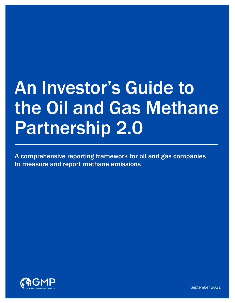# An Investor's Guide to the Oil and Gas Methane Partnership 2.0

A comprehensive reporting framework for oil and gas companies to measure and report methane emissions



September 2021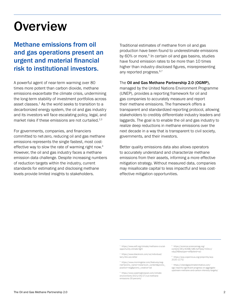### **Overview**

### Methane emissions from oil and gas operations present an urgent and material financial risk to institutional investors.

A powerful agent of near-term warming over 80 times more potent than carbon dioxide, methane emissions exacerbate the climate crisis, undermining the long-term stability of investment portfolios across asset classes. $1$  As the world seeks to transition to a decarbonized energy system, the oil and gas industry and its investors will face escalating policy, legal, and market risks if these emissions are not curtailed.<sup>2,3</sup>

For governments, companies, and financiers committed to net-zero, reducing oil and gas methane emissions represents the single fastest, most costeffective way to slow the rate of warming right now.<sup>4</sup> However, the oil and gas industry faces a methane emission data challenge. Despite increasing numbers of reduction targets within the industry, current standards for estimating and disclosing methane levels provide limited insights to stakeholders.

Traditional estimates of methane from oil and gas production have been found to underestimate emissions by 60% or more.<sup>5</sup> In certain oil and gas basins, studies have found emission rates to be more than 10 times higher than industry disclosed figures, misrepresenting any reported progress.<sup>6,7</sup>

#### The Oil and Gas Methane Partnership 2.0 (OGMP),

managed by the United Nations Environment Programme (UNEP), provides a reporting framework for oil and gas companies to accurately measure and report their methane emissions. The framework offers a transparent and standardized reporting protocol, allowing stakeholders to credibly differentiate industry leaders and laggards. The goal is to enable the oil and gas industry to realize deep reductions in methane emissions over the next decade in a way that is transparent to civil society, governments, and their investors.

Better quality emissions data also allows operators to accurately understand and characterize methane emissions from their assets, informing a more effective mitigation strategy. Without measured data, companies may misallocate capital to less impactful and less costeffective mitigation opportunities.

1 [https://www.edf.org/climate/methane-crucial](https://www.edf.org/climate/methane-crucial-opportunity-climate-fight )[opportunity-climate-fight](https://www.edf.org/climate/methane-crucial-opportunity-climate-fight )

2 [https://www.blackrock.com/uk/individual/](https://www.blackrock.com/uk/individual/larry-fink-ceo-letter  ) [larry-fink-ceo-letter](https://www.blackrock.com/uk/individual/larry-fink-ceo-letter  )

3 [https://www.morningstar.com/features/esg](https://www.morningstar.com/features/esg-risk?promo_name=mstartcom_content&promo_position=esg&promo_creative=ad)[risk?promo\\_name=mstartcom\\_content&promo\\_](https://www.morningstar.com/features/esg-risk?promo_name=mstartcom_content&promo_position=esg&promo_creative=ad) [position=esg&promo\\_creative=ad](https://www.morningstar.com/features/esg-risk?promo_name=mstartcom_content&promo_position=esg&promo_creative=ad)

4 [https://www.washingtonpost.com/climate](https://www.washingtonpost.com/climate-environment/2021/04/27/cut-methane-emissions-30-percent/  )[environment/2021/04/27/cut-methane](https://www.washingtonpost.com/climate-environment/2021/04/27/cut-methane-emissions-30-percent/  )[emissions-30-percent/](https://www.washingtonpost.com/climate-environment/2021/04/27/cut-methane-emissions-30-percent/  )

5 [https://science.sciencemag.org/](https://science.sciencemag.org/content/361/6398/186.full?ijkey=42lcrJ/vdyyZA&keytype=ref&siteid=sci ) [content/361/6398/186.full?ijkey=42lcrJ/](https://science.sciencemag.org/content/361/6398/186.full?ijkey=42lcrJ/vdyyZA&keytype=ref&siteid=sci ) [vdyyZA&keytype=ref&siteid=sci](https://science.sciencemag.org/content/361/6398/186.full?ijkey=42lcrJ/vdyyZA&keytype=ref&siteid=sci )

6 [https://acp.copernicus.org/preprints/acp-](https://acp.copernicus.org/preprints/acp-2020-1175/ )[2020-1175/](https://acp.copernicus.org/preprints/acp-2020-1175/ )

7 [https://oilandgasclimateinitiative.com/]( https://oilandgasclimateinitiative.com/ogci-reports-significant-progress-on-aggregate-upstream-methane-and-carbon-intensity-targets/) [ogci-reports-significant-progress-on-aggregate]( https://oilandgasclimateinitiative.com/ogci-reports-significant-progress-on-aggregate-upstream-methane-and-carbon-intensity-targets/)[upstream-methane-and-carbon-intensity-targets/]( https://oilandgasclimateinitiative.com/ogci-reports-significant-progress-on-aggregate-upstream-methane-and-carbon-intensity-targets/)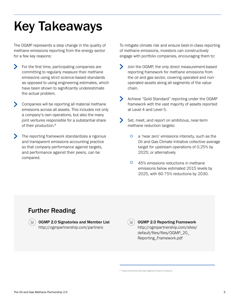# Key Takeaways

The OGMP represents a step change in the quality of methane emissions reporting from the energy sector for a few key reasons:

- For the first time, participating companies are committing to regularly measure their methane emissions using strict science-based standards as opposed to using engineering estimates, which have been shown to significantly underestimate the actual problem.
- Companies will be reporting all material methane emissions across all assets. This includes not only a company's own operations, but also the many joint ventures responsible for a substantial share of their production.<sup>8</sup>
- $\blacktriangleright$ The reporting framework standardizes a rigorous and transparent emissions accounting practice so that company performance against targets, and performance against their peers, can be compared.

To mitigate climate risk and ensure best-in-class reporting of methane emissions, investors can constructively engage with portfolio companies, encouraging them to:

- Join the OGMP, the only direct measurement-based reporting framework for methane emissions from the oil and gas sector, covering operated and nonoperated assets along all segments of the value chain.
- Achieve "Gold Standard" reporting under the OGMP framework with the vast majority of assets reported at Level 4 and Level 5.
- $\blacktriangleright$ Set, meet, and report on ambitious, near-term methane reduction targets:
	- $\circ$ a 'near zero' emissions intensity, such as the Oil and Gas Climate Initiative collective average target for upstream operations of 0.25% by 2025; or alternatively
	- 45% emissions reductions in methane emissions below estimated 2015 levels by 2025, with 60-75% reductions by 2030.

### Further Reading



OGMP 2.0 Signatories and Member List http://ogmpartnership.com/partners

OGMP 2.0 Reporting Framework [http://ogmpartnership.com/sites/](http://ogmpartnership.com/sites/default/files/files/OGMP_20_Reporting_Framework.pdf) [default/files/files/OGMP\\_20\\_](http://ogmpartnership.com/sites/default/files/files/OGMP_20_Reporting_Framework.pdf) [Reporting\\_Framework.pdf](http://ogmpartnership.com/sites/default/files/files/OGMP_20_Reporting_Framework.pdf)

8 <https://business.edf.org/insights/emission-omission/>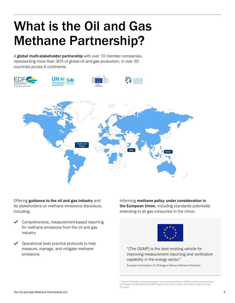### What is the Oil and Gas Methane Partnership?

A global multi-stakeholder partnership with over 70 member companies, representing more than 30% of global oil and gas production, in over 30 countries across 6 continents.



Offering guidance to the oil and gas industry and its stakeholders on methane emissions disclosure, including:

- $\checkmark$  Comprehensive, measurement-based reporting for methane emissions from the oil and gas industry
- $\vee$  Operational best practice protocols to help measure, manage, and mitigate methane emissions

Informing methane policy under consideration in the European Union, including standards potentially extending to all gas consumed in the Union.



"[The OGMP] is the best existing vehicle for improving measurement reporting and verification capability in the energy sector."

European Commission, EU Strategy to Reduce Methane Emissions

<sup>&</sup>lt;sup>9</sup> Rystad 2018 data, including production from assets operated by OGMP members and production from assets not operated by an OGMP member but where at least one member holds more than 5% equity.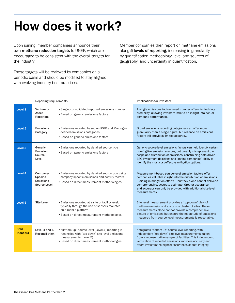### How does it work?

Upon joining, member companies announce their own methane reduction targets to UNEP, which are encouraged to be consistent with the overall targets for the industry.

These targets will be reviewed by companies on a periodic basis and should be modified to stay aligned with evolving industry best practices.

Member companies then report on methane emissions along 5 levels of reporting, increasing in granularity by quantification methodology, level and sources of geography, and uncertainty in quantification.

| <b>Reporting requirements</b> |                                                                 |                                                                                                                                                                               | Implications for investors                                                                                                                                                                                                                                                                                                         |  |  |
|-------------------------------|-----------------------------------------------------------------|-------------------------------------------------------------------------------------------------------------------------------------------------------------------------------|------------------------------------------------------------------------------------------------------------------------------------------------------------------------------------------------------------------------------------------------------------------------------------------------------------------------------------|--|--|
| Level 1                       | Venture or<br>Asset<br>Reporting                                | • Single, consolidated reported emissions number<br>• Based on generic emissions factors                                                                                      | A single emissions factor-based number offers limited data<br>credibility, allowing investors little to no insight into actual<br>company performance.                                                                                                                                                                             |  |  |
| Level <sub>2</sub>            | <b>Emissions</b><br>Category                                    | • Emissions reported based on IOGP and Marcogas<br>defined emissions categories<br>• Based on generic emissions factors                                                       | Broad emissions reporting categories can offer more<br>granularity than a single figure, but reliance on emissions<br>factors still provides limited accuracy.                                                                                                                                                                     |  |  |
| Level 3                       | Generic<br><b>Emission</b><br>Source<br>Level                   | • Emissions reported by detailed source type<br>• Based on generic emissions factors                                                                                          | Generic source-level emissions factors can help identify certain<br>non-fugitive emission sources, but broadly misrepresent the<br>scope and distribution of emissions, constraining data driven<br>ESG investment decisions and limiting companies' ability to<br>identify the most cost-effective mitigation options.            |  |  |
| Level 4                       | Company-<br><b>Specific</b><br><b>Emissions</b><br>Source Level | • Emissions reported by detailed source type using<br>company-specific emissions and activity factors<br>• Based on direct measurement methodologies                          | Measurement-based source-level emission factors offer<br>companies valuable insight into the distribution of emissions<br>- aiding in mitigation efforts - but they alone cannot deliver a<br>comprehensive, accurate estimate. Greater assurance<br>and accuracy can only be provided with additional site-level<br>measurements. |  |  |
| Level <sub>5</sub>            | <b>Site Level</b>                                               | • Emissions reported at a site or facility level,<br>typically through the use of sensors mounted<br>on a mobile platform<br>• Based on direct measurement methodologies      | Site level measurement provides a "top-down" view of<br>methane emissions at a site or a cluster of sites. These<br>measurements alone cannot provide a comprehensive<br>picture of emissions but ensure the magnitude of emissions<br>measured from source-level measurements is reasonable.                                      |  |  |
| Gold<br><b>Standard</b>       | Level 4 and 5<br><b>Reconciliation</b>                          | • "Bottom-up" source-level (Level 4) reporting is<br>reconciled with "top-down" site level emissions<br>measurements (Level 5)<br>• Based on direct measurement methodologies | "Integrates "bottom-up" source-level reporting, with<br>independent "top-down" site-level measurements, taken<br>from a representative sample of facilities. This independent<br>verification of reported emissions improves accuracy and<br>offers investors the highest assurances of data integrity.                            |  |  |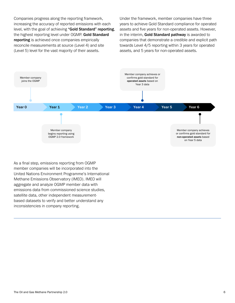Companies progress along the reporting framework, increasing the accuracy of reported emissions with each level, with the goal of achieving "Gold Standard" reporting, the highest reporting level under OGMP. Gold Standard reporting is achieved once companies empirically reconcile measurements at source (Level 4) and site (Level 5) level for the vast majority of their assets.

Under the framework, member companies have three years to achieve Gold Standard compliance for operated assets and five years for non-operated assets. However, in the interim, Gold Standard pathway is awarded to companies that demonstrate a credible and explicit path towards Level 4/5 reporting within 3 years for operated assets, and 5 years for non-operated assets.



As a final step, emissions reporting from OGMP member companies will be incorporated into the United Nations Environment Programme's International Methane Emissions Observatory (IMEO). IMEO will aggregate and analyze OGMP member data with emissions data from commissioned science studies, satellite data, other independent measurementbased datasets to verify and better understand any inconsistencies in company reporting.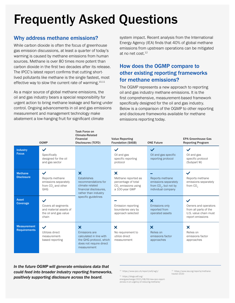# Frequently Asked Questions

#### Why address methane emissions?

While carbon dioxide is often the focus of greenhouse gas emission discussions, at least a quarter of today's warming is caused by methane emissions from human sources. Methane is over 80 times more potent than carbon dioxide in the first two decades after its release. The IPCC's latest report confirms that cutting shortlived pollutants like methane is the single fastest, most effective way to slow the current rate of warming.<sup>10,11</sup>

As a major source of global methane emissions, the oil and gas industry bears a special responsibility for urgent action to bring methane leakage and flaring under control. Ongoing advancements in oil and gas emissions measurement and management technology make abatement a low-hanging fruit for significant climate

system impact. Recent analysis from the International Energy Agency (IEA) finds that 40% of global methane emissions from upstream operations can be mitigated at no net cost  $12$ 

#### How does the OGMP compare to other existing reporting frameworks for methane emissions?

The OGMP represents a new approach to reporting oil and gas industry methane emissions. It is the first comprehensive, measurement-based framework specifically designed for the oil and gas industry. Below is a comparison of the OGMP to other reporting and disclosure frameworks available for methane emissions reporting today.

|                                           | <b>OGMP</b>                                                                                      | <b>Task Force on</b><br><b>Climate-Related</b><br><b>Financial</b><br><b>Disclosures (TCFD)</b>                                            | <b>Value Reporting</b><br><b>Foundation (SASB)</b>                                                                           | <b>ONE Future</b>                                                                        | <b>EPA Greenhouse Gas</b><br><b>Reporting Program</b>                                      |
|-------------------------------------------|--------------------------------------------------------------------------------------------------|--------------------------------------------------------------------------------------------------------------------------------------------|------------------------------------------------------------------------------------------------------------------------------|------------------------------------------------------------------------------------------|--------------------------------------------------------------------------------------------|
| <b>Industry</b><br><b>Focus</b>           | $\checkmark$<br>Specifically<br>designed for the oil<br>and gas sector                           |                                                                                                                                            | Oil and gas<br>specific reporting<br>protocol                                                                                | $\checkmark$<br>Oil and gas specific<br>reporting protocol                               | $\checkmark$<br>Oil and gas<br>specific protocol<br>(Subpart W)                            |
| <b>Methane</b><br><b>Disclosure</b>       | $\checkmark$<br>Reports methane<br>emissions separately<br>from CO <sub>2</sub> and other<br>GHG | $\boldsymbol{\mathsf{x}}$<br>Establishes<br>recommendations for<br>climate related<br>financial disclosures.<br>rather than industry       | $\boldsymbol{\mathsf{x}}$<br>Methane reported as<br>percentage of total<br>CO <sub>2</sub> emissions using<br>a 100-year GWP | Reports methane<br>emissions separately<br>from $CO2$ , but not by<br>individual company | $\checkmark$<br>Reports methane<br>emissions separately<br>from CO <sub>2</sub>            |
| <b>Asset</b><br>Coverage                  | $\checkmark$<br>Covers all segments<br>and material assets of<br>the oil and gas value<br>chain  | specific guidelines                                                                                                                        | Emission reporting<br>boundaries vary by<br>approach selected                                                                | $\boldsymbol{\mathsf{x}}$<br>Emissions only<br>reported from<br>operated assets          | Owners and operators<br>from all parts of the<br>U.S. value chain must<br>report emissions |
| <b>Measurement</b><br><b>Requirements</b> | $\checkmark$<br>Utilizes direct<br>measurement-<br>based reporting                               | $\boldsymbol{\mathsf{x}}$<br>Emissions are<br>calculated in line with<br>the GHG protocol, which<br>does not require direct<br>measurement | $\bm{x}$<br>No requirement to<br>utilize direct<br>measurement                                                               | $\boldsymbol{\mathsf{x}}$<br>Relies on<br>emissions factor<br>approaches                 | X<br>Relies on<br>emissions factor<br>approaches                                           |

*In the future OGMP will generate emissions data that could feed into broader industry reporting frameworks, positively supporting disclosure across the board.* 

10 [https://www.ipcc.ch/report/ar6/wg1/](https://www.ipcc.ch/report/ar6/wg1/ )

11 [https://blogs.edf.org/](https://blogs.edf.org/energyexchange/2021/08/09/new-ipcc-report-zeroes-in-on-urgency-of-reducing-methane/ ) [energyexchange/2021/08/09/new-ipcc-report-](https://blogs.edf.org/energyexchange/2021/08/09/new-ipcc-report-zeroes-in-on-urgency-of-reducing-methane/ )[zeroes-in-on-urgency-of-reducing-methane/](https://blogs.edf.org/energyexchange/2021/08/09/new-ipcc-report-zeroes-in-on-urgency-of-reducing-methane/ )

12 [https://www.iea.org/reports/methane](https://www.iea.org/reports/methane-tracker-2020)[tracker-2020](https://www.iea.org/reports/methane-tracker-2020)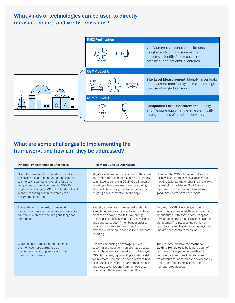#### What kinds of technologies can be used to directly measure, report, and verify emissions?



#### What are some challenges to implementing the framework, and how can they be addressed?

| <b>Potential Implementation Challenges</b>                                                                                                                                                                                                                                                          | <b>How They Can Be Addressed</b>                                                                                                                                                                                                                                                                                                                                               |                                                                                                                                                                                                                                                                                                                |  |
|-----------------------------------------------------------------------------------------------------------------------------------------------------------------------------------------------------------------------------------------------------------------------------------------------------|--------------------------------------------------------------------------------------------------------------------------------------------------------------------------------------------------------------------------------------------------------------------------------------------------------------------------------------------------------------------------------|----------------------------------------------------------------------------------------------------------------------------------------------------------------------------------------------------------------------------------------------------------------------------------------------------------------|--|
| Given the perceived current state of methane<br>emissions measurement and quantification<br>technology, it can be challenging for some<br>companies to commit to meeting OGMP's<br>target of achieving OGMP Gold Standard Level<br>4 and 5 reporting within the three-year<br>designated timeframe. | Major oil and gas companies around the world<br>and across the gas supply chain have already<br>committed to achieving OGMP Gold Standard<br>reporting within three years, demonstrating<br>they back their ability to achieve this goal with<br>on-going advancements in technology.                                                                                          | However, the OGMP framework does also<br>acknowledge there may be challenges in<br>meeting Gold Standard reporting and allows<br>for flexibility in achieving Gold Standard<br>reporting if companies can demonstrate<br>good faith efforts have been made.                                                    |  |
| The scale and complexity of measuring<br>methane emissions from all material sources<br>can feel like an overwhelming challenge for<br>companies.                                                                                                                                                   | New signatories are not expected to start from<br>scratch and will have access to industry best<br>practices on how to tackle this challenge.<br>Technical guidance is being jointly developed<br>and updated by OGMP members in order to<br>provide companies with a detailed and<br>actionable roadmap to achieve Gold Standard<br>reporting.                                | Further, the OGMP encourages the most<br>significant sources of methane emissions to<br>be prioritized, with assets accounting for<br>95% of an operator's emissions considered<br>as material. This reduces the burden on<br>operators for smaller sources that might be<br>impractical or costly to measure. |  |
| Companies cite their limited influence<br>over joint venture partners as a<br>challenge to reporting emissions from<br>non-operated assets.                                                                                                                                                         | Despite comprising on average 40% of<br>supermajor production, non-operated assets<br>remain largely unaccounted for in oil and gas<br>ESG disclosures, representing a material risk<br>for investors. Companies have a responsibility<br>to influence joint venture partners to manage<br>and disclose emissions from non-operated<br>assets as with material financial KPIs. | The industry initiative the Methane<br>Guiding Principles is building a bank of<br>resources for engagement with joint<br>venture partners, providing tools and<br>frameworks for companies to successfully<br>report and reduce emissions from<br>non-operated assets.                                        |  |